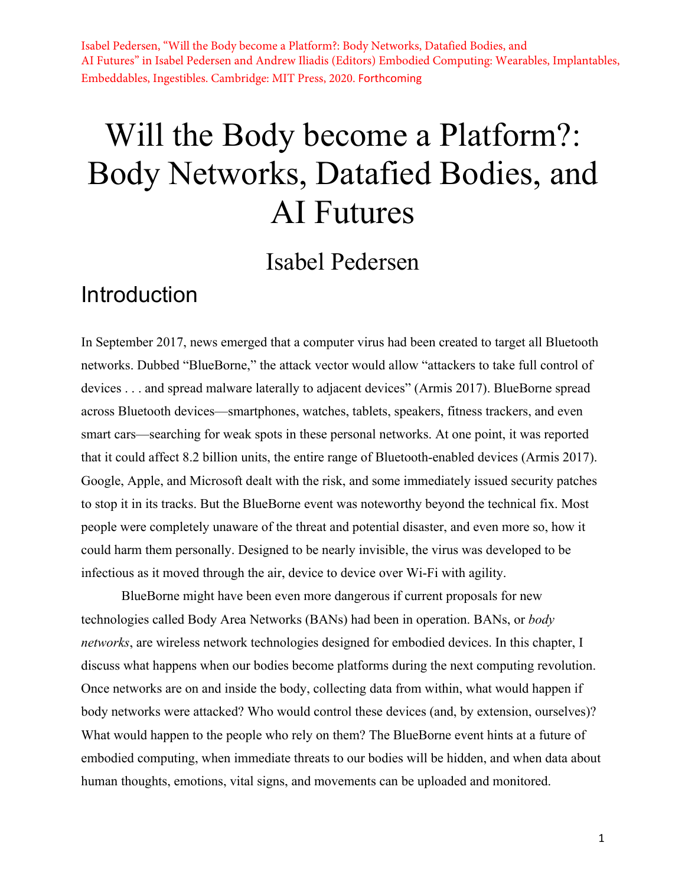Isabel Pedersen, "Will the Body become a Platform?: Body Networks, Datafied Bodies, and AI Futures" in Isabel Pedersen and Andrew Iliadis (Editors) Embodied Computing: Wearables, Implantables, Embeddables, Ingestibles. Cambridge: MIT Press, 2020. Forthcoming

# Will the Body become a Platform?: Body Networks, Datafied Bodies, and AI Futures

# Isabel Pedersen

#### Introduction

In September 2017, news emerged that a computer virus had been created to target all Bluetooth networks. Dubbed "BlueBorne," the attack vector would allow "attackers to take full control of devices . . . and spread malware laterally to adjacent devices" (Armis 2017). BlueBorne spread across Bluetooth devices—smartphones, watches, tablets, speakers, fitness trackers, and even smart cars—searching for weak spots in these personal networks. At one point, it was reported that it could affect 8.2 billion units, the entire range of Bluetooth-enabled devices (Armis 2017). Google, Apple, and Microsoft dealt with the risk, and some immediately issued security patches to stop it in its tracks. But the BlueBorne event was noteworthy beyond the technical fix. Most people were completely unaware of the threat and potential disaster, and even more so, how it could harm them personally. Designed to be nearly invisible, the virus was developed to be infectious as it moved through the air, device to device over Wi-Fi with agility.

BlueBorne might have been even more dangerous if current proposals for new technologies called Body Area Networks (BANs) had been in operation. BANs, or *body networks*, are wireless network technologies designed for embodied devices. In this chapter, I discuss what happens when our bodies become platforms during the next computing revolution. Once networks are on and inside the body, collecting data from within, what would happen if body networks were attacked? Who would control these devices (and, by extension, ourselves)? What would happen to the people who rely on them? The BlueBorne event hints at a future of embodied computing, when immediate threats to our bodies will be hidden, and when data about human thoughts, emotions, vital signs, and movements can be uploaded and monitored.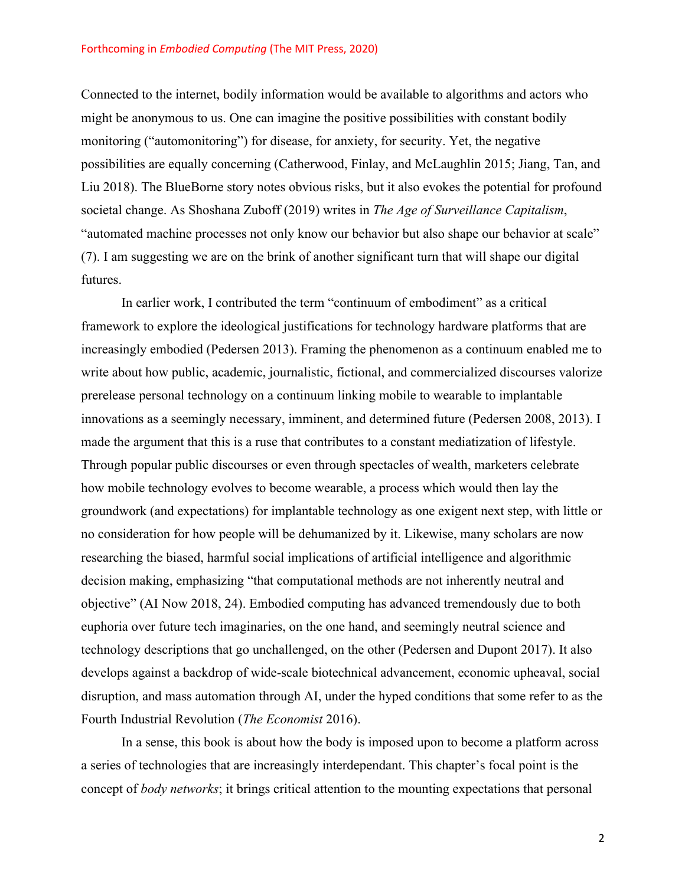#### Forthcoming in *Embodied Computing* (The MIT Press, 2020)

Connected to the internet, bodily information would be available to algorithms and actors who might be anonymous to us. One can imagine the positive possibilities with constant bodily monitoring ("automonitoring") for disease, for anxiety, for security. Yet, the negative possibilities are equally concerning (Catherwood, Finlay, and McLaughlin 2015; Jiang, Tan, and Liu 2018). The BlueBorne story notes obvious risks, but it also evokes the potential for profound societal change. As Shoshana Zuboff (2019) writes in *The Age of Surveillance Capitalism*, "automated machine processes not only know our behavior but also shape our behavior at scale" (7). I am suggesting we are on the brink of another significant turn that will shape our digital futures.

In earlier work, I contributed the term "continuum of embodiment" as a critical framework to explore the ideological justifications for technology hardware platforms that are increasingly embodied (Pedersen 2013). Framing the phenomenon as a continuum enabled me to write about how public, academic, journalistic, fictional, and commercialized discourses valorize prerelease personal technology on a continuum linking mobile to wearable to implantable innovations as a seemingly necessary, imminent, and determined future (Pedersen 2008, 2013). I made the argument that this is a ruse that contributes to a constant mediatization of lifestyle. Through popular public discourses or even through spectacles of wealth, marketers celebrate how mobile technology evolves to become wearable, a process which would then lay the groundwork (and expectations) for implantable technology as one exigent next step, with little or no consideration for how people will be dehumanized by it. Likewise, many scholars are now researching the biased, harmful social implications of artificial intelligence and algorithmic decision making, emphasizing "that computational methods are not inherently neutral and objective" (AI Now 2018, 24). Embodied computing has advanced tremendously due to both euphoria over future tech imaginaries, on the one hand, and seemingly neutral science and technology descriptions that go unchallenged, on the other (Pedersen and Dupont 2017). It also develops against a backdrop of wide-scale biotechnical advancement, economic upheaval, social disruption, and mass automation through AI, under the hyped conditions that some refer to as the Fourth Industrial Revolution (*The Economist* 2016).

In a sense, this book is about how the body is imposed upon to become a platform across a series of technologies that are increasingly interdependant. This chapter's focal point is the concept of *body networks*; it brings critical attention to the mounting expectations that personal

2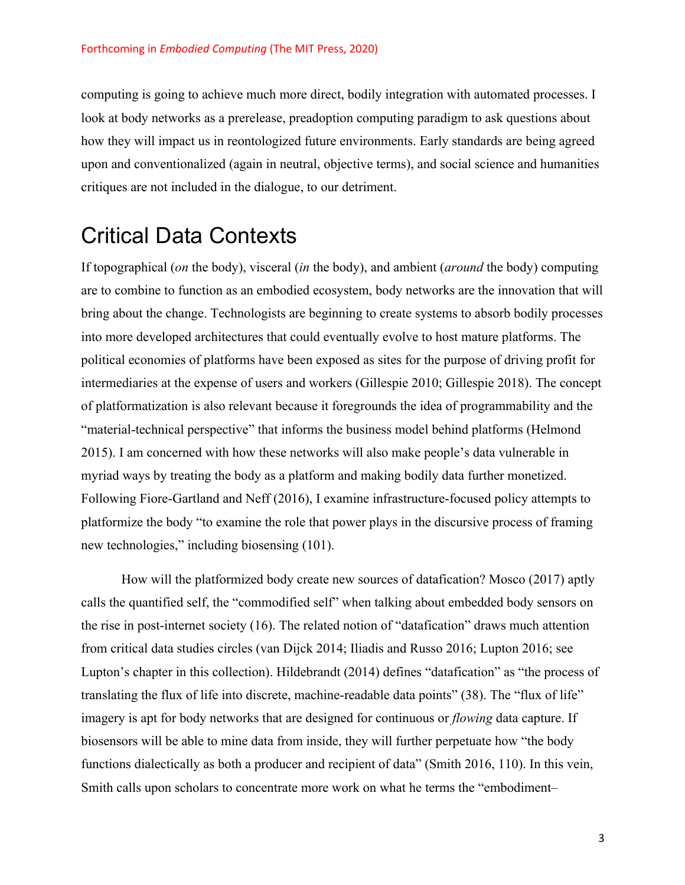computing is going to achieve much more direct, bodily integration with automated processes. I look at body networks as a prerelease, preadoption computing paradigm to ask questions about how they will impact us in reontologized future environments. Early standards are being agreed upon and conventionalized (again in neutral, objective terms), and social science and humanities critiques are not included in the dialogue, to our detriment.

### Critical Data Contexts

If topographical (*on* the body), visceral (*in* the body), and ambient (*around* the body) computing are to combine to function as an embodied ecosystem, body networks are the innovation that will bring about the change. Technologists are beginning to create systems to absorb bodily processes into more developed architectures that could eventually evolve to host mature platforms. The political economies of platforms have been exposed as sites for the purpose of driving profit for intermediaries at the expense of users and workers (Gillespie 2010; Gillespie 2018). The concept of platformatization is also relevant because it foregrounds the idea of programmability and the "material-technical perspective" that informs the business model behind platforms (Helmond 2015). I am concerned with how these networks will also make people's data vulnerable in myriad ways by treating the body as a platform and making bodily data further monetized. Following Fiore-Gartland and Neff (2016), I examine infrastructure-focused policy attempts to platformize the body "to examine the role that power plays in the discursive process of framing new technologies," including biosensing (101).

How will the platformized body create new sources of datafication? Mosco (2017) aptly calls the quantified self, the "commodified self" when talking about embedded body sensors on the rise in post-internet society (16). The related notion of "datafication" draws much attention from critical data studies circles (van Dijck 2014; Iliadis and Russo 2016; Lupton 2016; see Lupton's chapter in this collection). Hildebrandt (2014) defines "datafication" as "the process of translating the flux of life into discrete, machine-readable data points" (38). The "flux of life" imagery is apt for body networks that are designed for continuous or *flowing* data capture. If biosensors will be able to mine data from inside, they will further perpetuate how "the body functions dialectically as both a producer and recipient of data" (Smith 2016, 110). In this vein, Smith calls upon scholars to concentrate more work on what he terms the "embodiment–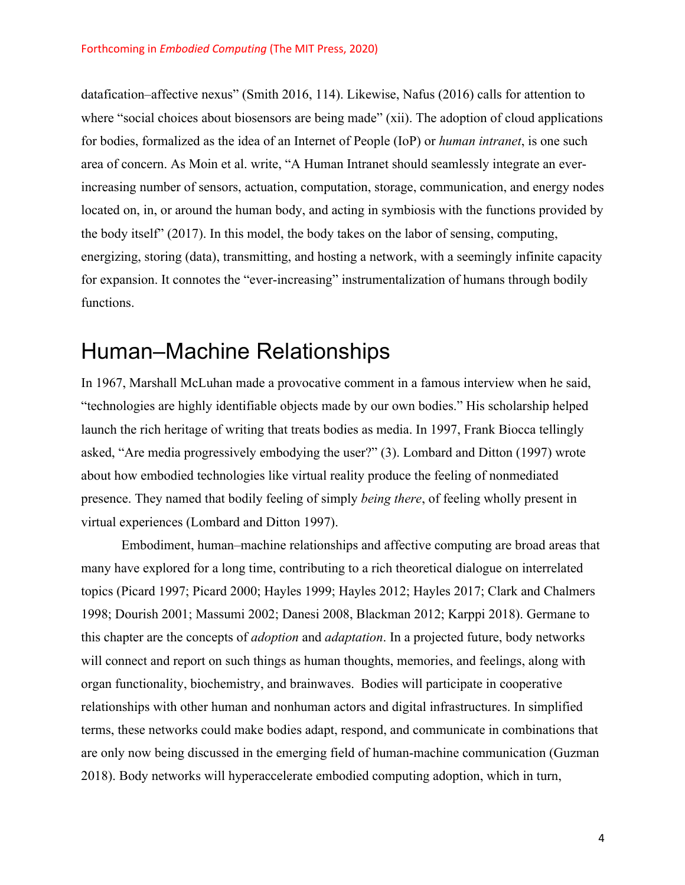datafication–affective nexus" (Smith 2016, 114). Likewise, Nafus (2016) calls for attention to where "social choices about biosensors are being made" (xii). The adoption of cloud applications for bodies, formalized as the idea of an Internet of People (IoP) or *human intranet*, is one such area of concern. As Moin et al. write, "A Human Intranet should seamlessly integrate an everincreasing number of sensors, actuation, computation, storage, communication, and energy nodes located on, in, or around the human body, and acting in symbiosis with the functions provided by the body itself" (2017). In this model, the body takes on the labor of sensing, computing, energizing, storing (data), transmitting, and hosting a network, with a seemingly infinite capacity for expansion. It connotes the "ever-increasing" instrumentalization of humans through bodily functions.

#### Human–Machine Relationships

In 1967, Marshall McLuhan made a provocative comment in a famous interview when he said, "technologies are highly identifiable objects made by our own bodies." His scholarship helped launch the rich heritage of writing that treats bodies as media. In 1997, Frank Biocca tellingly asked, "Are media progressively embodying the user?" (3). Lombard and Ditton (1997) wrote about how embodied technologies like virtual reality produce the feeling of nonmediated presence. They named that bodily feeling of simply *being there*, of feeling wholly present in virtual experiences (Lombard and Ditton 1997).

Embodiment, human–machine relationships and affective computing are broad areas that many have explored for a long time, contributing to a rich theoretical dialogue on interrelated topics (Picard 1997; Picard 2000; Hayles 1999; Hayles 2012; Hayles 2017; Clark and Chalmers 1998; Dourish 2001; Massumi 2002; Danesi 2008, Blackman 2012; Karppi 2018). Germane to this chapter are the concepts of *adoption* and *adaptation*. In a projected future, body networks will connect and report on such things as human thoughts, memories, and feelings, along with organ functionality, biochemistry, and brainwaves. Bodies will participate in cooperative relationships with other human and nonhuman actors and digital infrastructures. In simplified terms, these networks could make bodies adapt, respond, and communicate in combinations that are only now being discussed in the emerging field of human-machine communication (Guzman 2018). Body networks will hyperaccelerate embodied computing adoption, which in turn,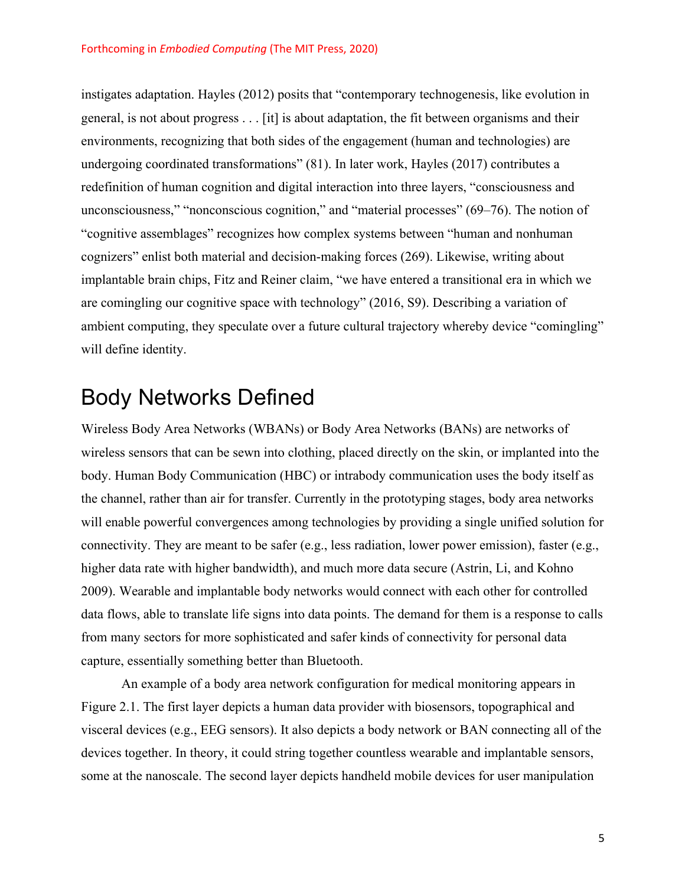instigates adaptation. Hayles (2012) posits that "contemporary technogenesis, like evolution in general, is not about progress . . . [it] is about adaptation, the fit between organisms and their environments, recognizing that both sides of the engagement (human and technologies) are undergoing coordinated transformations" (81). In later work, Hayles (2017) contributes a redefinition of human cognition and digital interaction into three layers, "consciousness and unconsciousness," "nonconscious cognition," and "material processes" (69–76). The notion of "cognitive assemblages" recognizes how complex systems between "human and nonhuman cognizers" enlist both material and decision-making forces (269). Likewise, writing about implantable brain chips, Fitz and Reiner claim, "we have entered a transitional era in which we are comingling our cognitive space with technology" (2016, S9). Describing a variation of ambient computing, they speculate over a future cultural trajectory whereby device "comingling" will define identity.

### Body Networks Defined

Wireless Body Area Networks (WBANs) or Body Area Networks (BANs) are networks of wireless sensors that can be sewn into clothing, placed directly on the skin, or implanted into the body. Human Body Communication (HBC) or intrabody communication uses the body itself as the channel, rather than air for transfer. Currently in the prototyping stages, body area networks will enable powerful convergences among technologies by providing a single unified solution for connectivity. They are meant to be safer (e.g., less radiation, lower power emission), faster (e.g., higher data rate with higher bandwidth), and much more data secure (Astrin, Li, and Kohno 2009). Wearable and implantable body networks would connect with each other for controlled data flows, able to translate life signs into data points. The demand for them is a response to calls from many sectors for more sophisticated and safer kinds of connectivity for personal data capture, essentially something better than Bluetooth.

An example of a body area network configuration for medical monitoring appears in Figure 2.1. The first layer depicts a human data provider with biosensors, topographical and visceral devices (e.g., EEG sensors). It also depicts a body network or BAN connecting all of the devices together. In theory, it could string together countless wearable and implantable sensors, some at the nanoscale. The second layer depicts handheld mobile devices for user manipulation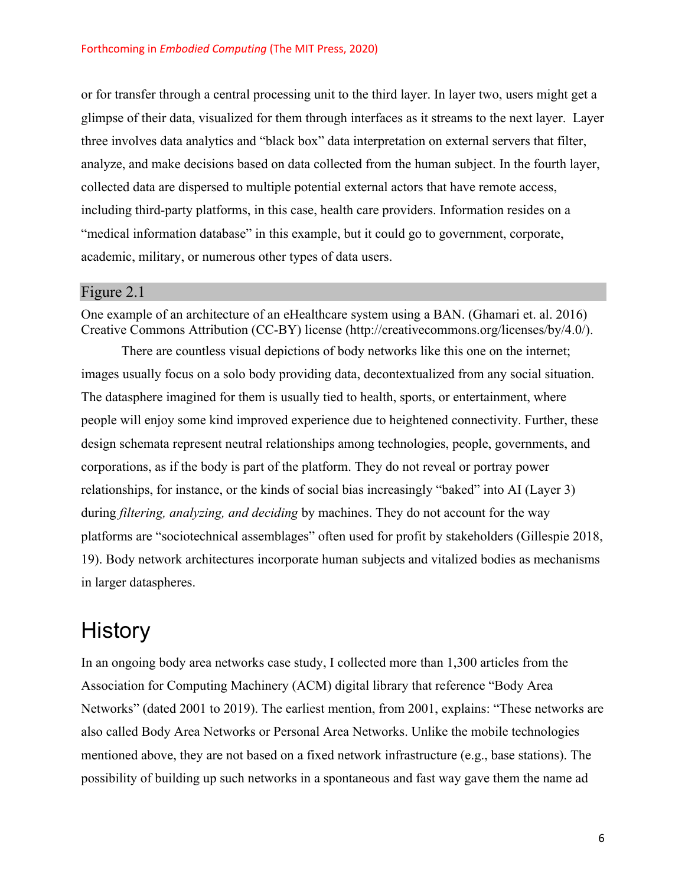or for transfer through a central processing unit to the third layer. In layer two, users might get a glimpse of their data, visualized for them through interfaces as it streams to the next layer. Layer three involves data analytics and "black box" data interpretation on external servers that filter, analyze, and make decisions based on data collected from the human subject. In the fourth layer, collected data are dispersed to multiple potential external actors that have remote access, including third-party platforms, in this case, health care providers. Information resides on a "medical information database" in this example, but it could go to government, corporate, academic, military, or numerous other types of data users.

#### Figure 2.1

One example of an architecture of an eHealthcare system using a BAN. (Ghamari et. al. 2016) Creative Commons Attribution (CC-BY) license (http://creativecommons.org/licenses/by/4.0/).

There are countless visual depictions of body networks like this one on the internet; images usually focus on a solo body providing data, decontextualized from any social situation. The datasphere imagined for them is usually tied to health, sports, or entertainment, where people will enjoy some kind improved experience due to heightened connectivity. Further, these design schemata represent neutral relationships among technologies, people, governments, and corporations, as if the body is part of the platform. They do not reveal or portray power relationships, for instance, or the kinds of social bias increasingly "baked" into AI (Layer 3) during *filtering, analyzing, and deciding* by machines. They do not account for the way platforms are "sociotechnical assemblages" often used for profit by stakeholders (Gillespie 2018, 19). Body network architectures incorporate human subjects and vitalized bodies as mechanisms in larger dataspheres.

#### **History**

In an ongoing body area networks case study, I collected more than 1,300 articles from the Association for Computing Machinery (ACM) digital library that reference "Body Area Networks" (dated 2001 to 2019). The earliest mention, from 2001, explains: "These networks are also called Body Area Networks or Personal Area Networks. Unlike the mobile technologies mentioned above, they are not based on a fixed network infrastructure (e.g., base stations). The possibility of building up such networks in a spontaneous and fast way gave them the name ad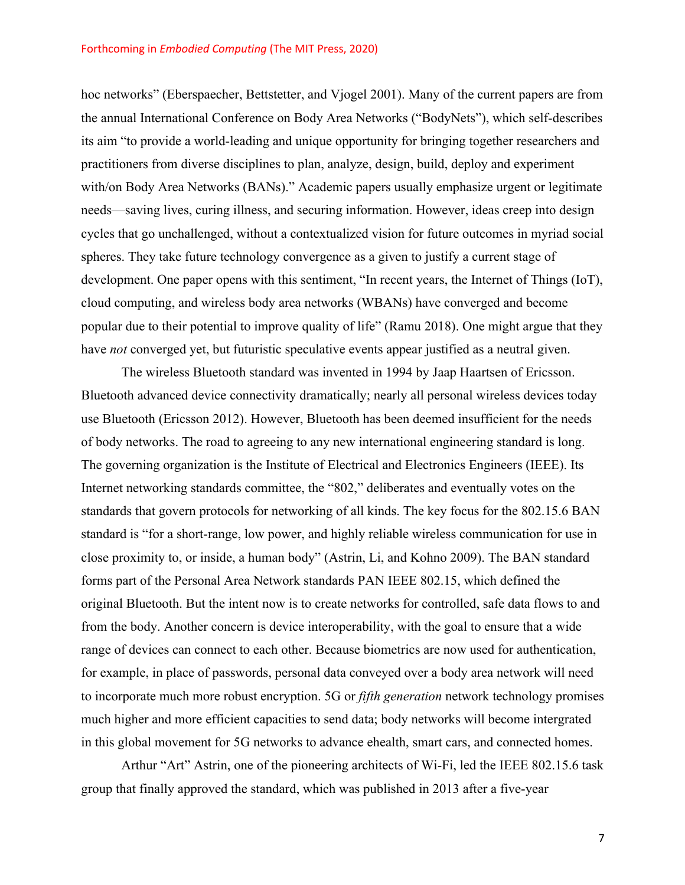hoc networks" (Eberspaecher, Bettstetter, and Vjogel 2001). Many of the current papers are from the annual International Conference on Body Area Networks ("BodyNets"), which self-describes its aim "to provide a world-leading and unique opportunity for bringing together researchers and practitioners from diverse disciplines to plan, analyze, design, build, deploy and experiment with/on Body Area Networks (BANs)." Academic papers usually emphasize urgent or legitimate needs—saving lives, curing illness, and securing information. However, ideas creep into design cycles that go unchallenged, without a contextualized vision for future outcomes in myriad social spheres. They take future technology convergence as a given to justify a current stage of development. One paper opens with this sentiment, "In recent years, the Internet of Things (IoT), cloud computing, and wireless body area networks (WBANs) have converged and become popular due to their potential to improve quality of life" (Ramu 2018). One might argue that they have *not* converged yet, but futuristic speculative events appear justified as a neutral given.

The wireless Bluetooth standard was invented in 1994 by Jaap Haartsen of Ericsson. Bluetooth advanced device connectivity dramatically; nearly all personal wireless devices today use Bluetooth (Ericsson 2012). However, Bluetooth has been deemed insufficient for the needs of body networks. The road to agreeing to any new international engineering standard is long. The governing organization is the Institute of Electrical and Electronics Engineers (IEEE). Its Internet networking standards committee, the "802," deliberates and eventually votes on the standards that govern protocols for networking of all kinds. The key focus for the 802.15.6 BAN standard is "for a short-range, low power, and highly reliable wireless communication for use in close proximity to, or inside, a human body" (Astrin, Li, and Kohno 2009). The BAN standard forms part of the Personal Area Network standards PAN IEEE 802.15, which defined the original Bluetooth. But the intent now is to create networks for controlled, safe data flows to and from the body. Another concern is device interoperability, with the goal to ensure that a wide range of devices can connect to each other. Because biometrics are now used for authentication, for example, in place of passwords, personal data conveyed over a body area network will need to incorporate much more robust encryption. 5G or *fifth generation* network technology promises much higher and more efficient capacities to send data; body networks will become intergrated in this global movement for 5G networks to advance ehealth, smart cars, and connected homes.

Arthur "Art" Astrin, one of the pioneering architects of Wi-Fi, led the IEEE 802.15.6 task group that finally approved the standard, which was published in 2013 after a five-year

7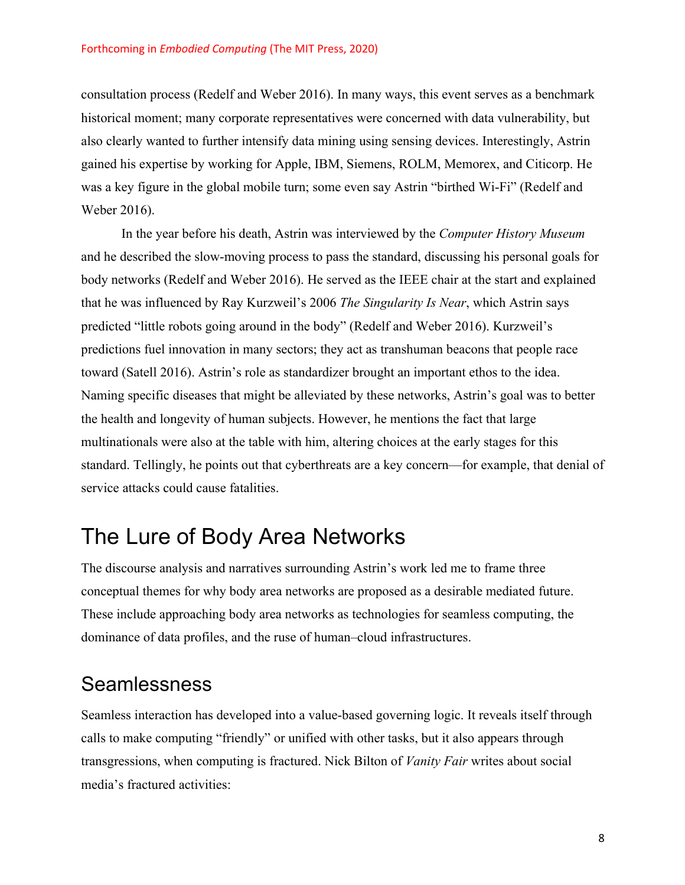consultation process (Redelf and Weber 2016). In many ways, this event serves as a benchmark historical moment; many corporate representatives were concerned with data vulnerability, but also clearly wanted to further intensify data mining using sensing devices. Interestingly, Astrin gained his expertise by working for Apple, IBM, Siemens, ROLM, Memorex, and Citicorp. He was a key figure in the global mobile turn; some even say Astrin "birthed Wi-Fi" (Redelf and Weber 2016).

In the year before his death, Astrin was interviewed by the *Computer History Museum* and he described the slow-moving process to pass the standard, discussing his personal goals for body networks (Redelf and Weber 2016). He served as the IEEE chair at the start and explained that he was influenced by Ray Kurzweil's 2006 *The Singularity Is Near*, which Astrin says predicted "little robots going around in the body" (Redelf and Weber 2016). Kurzweil's predictions fuel innovation in many sectors; they act as transhuman beacons that people race toward (Satell 2016). Astrin's role as standardizer brought an important ethos to the idea. Naming specific diseases that might be alleviated by these networks, Astrin's goal was to better the health and longevity of human subjects. However, he mentions the fact that large multinationals were also at the table with him, altering choices at the early stages for this standard. Tellingly, he points out that cyberthreats are a key concern—for example, that denial of service attacks could cause fatalities.

## The Lure of Body Area Networks

The discourse analysis and narratives surrounding Astrin's work led me to frame three conceptual themes for why body area networks are proposed as a desirable mediated future. These include approaching body area networks as technologies for seamless computing, the dominance of data profiles, and the ruse of human–cloud infrastructures.

#### Seamlessness

Seamless interaction has developed into a value-based governing logic. It reveals itself through calls to make computing "friendly" or unified with other tasks, but it also appears through transgressions, when computing is fractured. Nick Bilton of *Vanity Fair* writes about social media's fractured activities: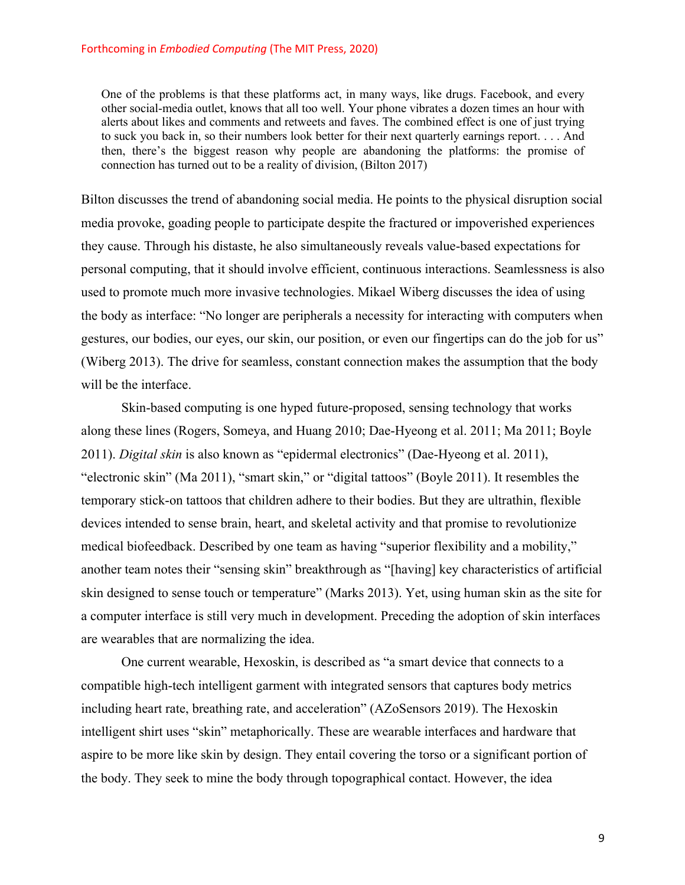One of the problems is that these platforms act, in many ways, like drugs. Facebook, and every other social-media outlet, knows that all too well. Your phone vibrates a dozen times an hour with alerts about likes and comments and retweets and faves. The combined effect is one of just trying to suck you back in, so their numbers look better for their next quarterly earnings report. . . . And then, there's the biggest reason why people are abandoning the platforms: the promise of connection has turned out to be a reality of division, (Bilton 2017)

Bilton discusses the trend of abandoning social media. He points to the physical disruption social media provoke, goading people to participate despite the fractured or impoverished experiences they cause. Through his distaste, he also simultaneously reveals value-based expectations for personal computing, that it should involve efficient, continuous interactions. Seamlessness is also used to promote much more invasive technologies. Mikael Wiberg discusses the idea of using the body as interface: "No longer are peripherals a necessity for interacting with computers when gestures, our bodies, our eyes, our skin, our position, or even our fingertips can do the job for us" (Wiberg 2013). The drive for seamless, constant connection makes the assumption that the body will be the interface.

Skin-based computing is one hyped future-proposed, sensing technology that works along these lines (Rogers, Someya, and Huang 2010; Dae-Hyeong et al. 2011; Ma 2011; Boyle 2011). *Digital skin* is also known as "epidermal electronics" (Dae-Hyeong et al. 2011), "electronic skin" (Ma 2011), "smart skin," or "digital tattoos" (Boyle 2011). It resembles the temporary stick-on tattoos that children adhere to their bodies. But they are ultrathin, flexible devices intended to sense brain, heart, and skeletal activity and that promise to revolutionize medical biofeedback. Described by one team as having "superior flexibility and a mobility," another team notes their "sensing skin" breakthrough as "[having] key characteristics of artificial skin designed to sense touch or temperature" (Marks 2013). Yet, using human skin as the site for a computer interface is still very much in development. Preceding the adoption of skin interfaces are wearables that are normalizing the idea.

One current wearable, Hexoskin, is described as "a smart device that connects to a compatible high-tech intelligent garment with integrated sensors that captures body metrics including heart rate, breathing rate, and acceleration" (AZoSensors 2019). The Hexoskin intelligent shirt uses "skin" metaphorically. These are wearable interfaces and hardware that aspire to be more like skin by design. They entail covering the torso or a significant portion of the body. They seek to mine the body through topographical contact. However, the idea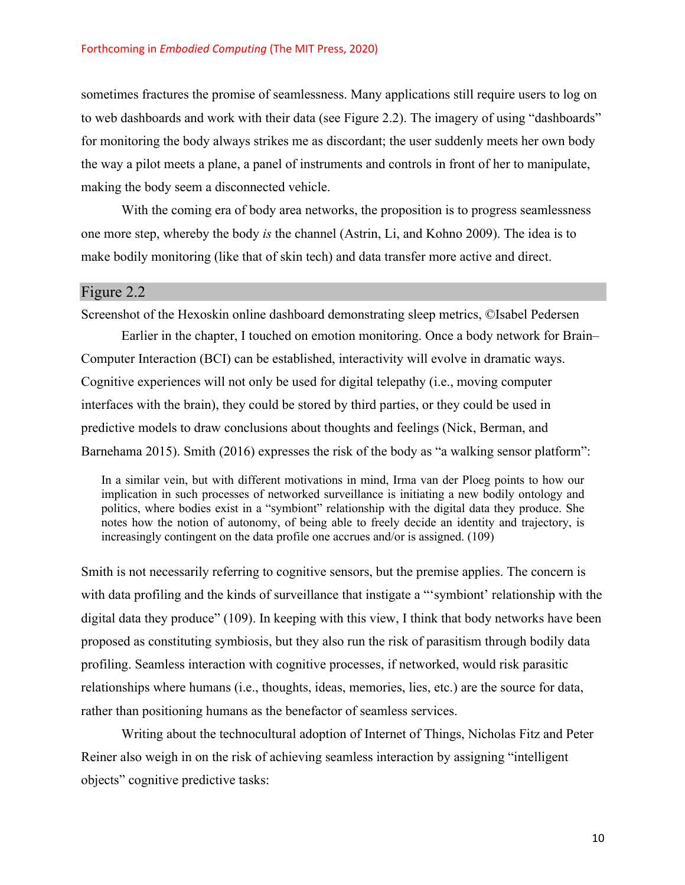sometimes fractures the promise of seamlessness. Many applications still require users to log on to web dashboards and work with their data (see Figure 2.2). The imagery of using "dashboards" for monitoring the body always strikes me as discordant; the user suddenly meets her own body the way a pilot meets a plane, a panel of instruments and controls in front of her to manipulate, making the body seem a disconnected vehicle.

With the coming era of body area networks, the proposition is to progress seamlessness one more step, whereby the body *is* the channel (Astrin, Li, and Kohno 2009). The idea is to make bodily monitoring (like that of skin tech) and data transfer more active and direct.

#### Figure 2.2

Screenshot of the Hexoskin online dashboard demonstrating sleep metrics, ©Isabel Pedersen Earlier in the chapter, I touched on emotion monitoring. Once a body network for Brain– Computer Interaction (BCI) can be established, interactivity will evolve in dramatic ways. Cognitive experiences will not only be used for digital telepathy (i.e., moving computer interfaces with the brain), they could be stored by third parties, or they could be used in predictive models to draw conclusions about thoughts and feelings (Nick, Berman, and Barnehama 2015). Smith (2016) expresses the risk of the body as "a walking sensor platform":

In a similar vein, but with different motivations in mind, Irma van der Ploeg points to how our implication in such processes of networked surveillance is initiating a new bodily ontology and politics, where bodies exist in a "symbiont" relationship with the digital data they produce. She notes how the notion of autonomy, of being able to freely decide an identity and trajectory, is increasingly contingent on the data profile one accrues and/or is assigned. (109)

Smith is not necessarily referring to cognitive sensors, but the premise applies. The concern is with data profiling and the kinds of surveillance that instigate a "symbiont' relationship with the digital data they produce" (109). In keeping with this view, I think that body networks have been proposed as constituting symbiosis, but they also run the risk of parasitism through bodily data profiling. Seamless interaction with cognitive processes, if networked, would risk parasitic relationships where humans (i.e., thoughts, ideas, memories, lies, etc.) are the source for data, rather than positioning humans as the benefactor of seamless services.

Writing about the technocultural adoption of Internet of Things, Nicholas Fitz and Peter Reiner also weigh in on the risk of achieving seamless interaction by assigning "intelligent objects" cognitive predictive tasks: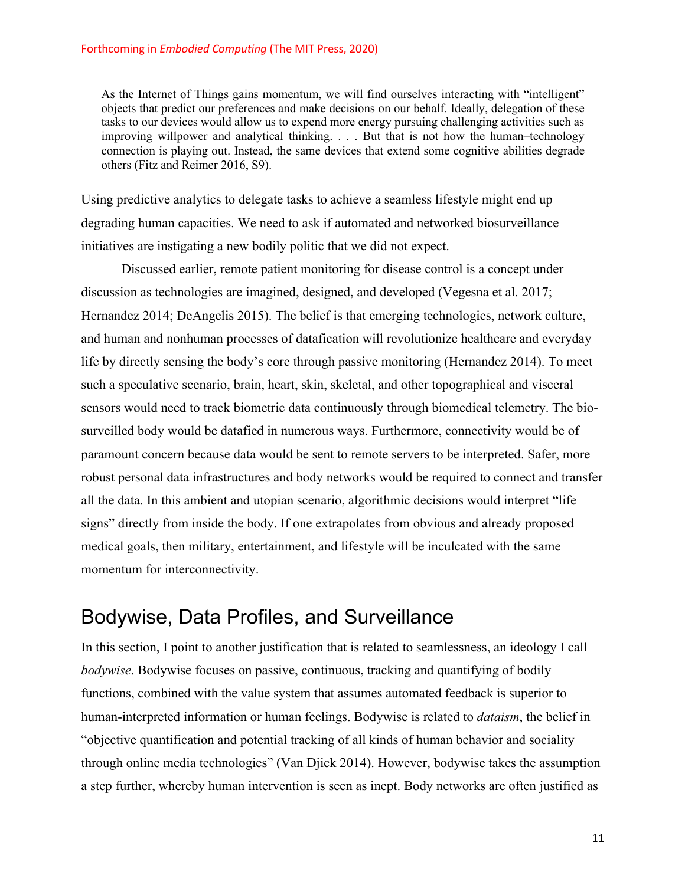As the Internet of Things gains momentum, we will find ourselves interacting with "intelligent" objects that predict our preferences and make decisions on our behalf. Ideally, delegation of these tasks to our devices would allow us to expend more energy pursuing challenging activities such as improving willpower and analytical thinking. . . . But that is not how the human–technology connection is playing out. Instead, the same devices that extend some cognitive abilities degrade others (Fitz and Reimer 2016, S9).

Using predictive analytics to delegate tasks to achieve a seamless lifestyle might end up degrading human capacities. We need to ask if automated and networked biosurveillance initiatives are instigating a new bodily politic that we did not expect.

Discussed earlier, remote patient monitoring for disease control is a concept under discussion as technologies are imagined, designed, and developed (Vegesna et al. 2017; Hernandez 2014; DeAngelis 2015). The belief is that emerging technologies, network culture, and human and nonhuman processes of datafication will revolutionize healthcare and everyday life by directly sensing the body's core through passive monitoring (Hernandez 2014). To meet such a speculative scenario, brain, heart, skin, skeletal, and other topographical and visceral sensors would need to track biometric data continuously through biomedical telemetry. The biosurveilled body would be datafied in numerous ways. Furthermore, connectivity would be of paramount concern because data would be sent to remote servers to be interpreted. Safer, more robust personal data infrastructures and body networks would be required to connect and transfer all the data. In this ambient and utopian scenario, algorithmic decisions would interpret "life signs" directly from inside the body. If one extrapolates from obvious and already proposed medical goals, then military, entertainment, and lifestyle will be inculcated with the same momentum for interconnectivity.

#### Bodywise, Data Profiles, and Surveillance

In this section, I point to another justification that is related to seamlessness, an ideology I call *bodywise*. Bodywise focuses on passive, continuous, tracking and quantifying of bodily functions, combined with the value system that assumes automated feedback is superior to human-interpreted information or human feelings. Bodywise is related to *dataism*, the belief in "objective quantification and potential tracking of all kinds of human behavior and sociality through online media technologies" (Van Djick 2014). However, bodywise takes the assumption a step further, whereby human intervention is seen as inept. Body networks are often justified as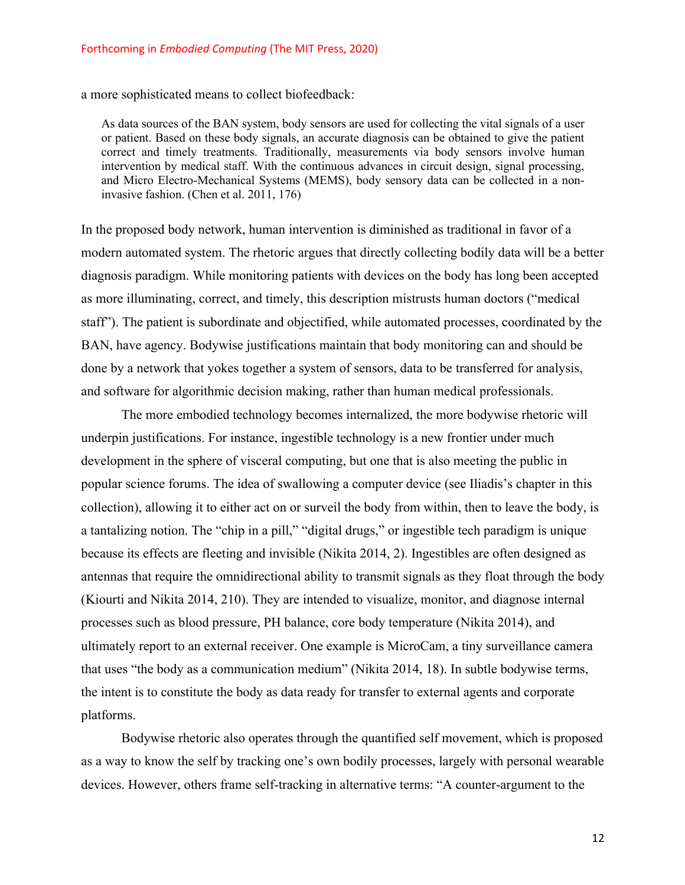a more sophisticated means to collect biofeedback:

As data sources of the BAN system, body sensors are used for collecting the vital signals of a user or patient. Based on these body signals, an accurate diagnosis can be obtained to give the patient correct and timely treatments. Traditionally, measurements via body sensors involve human intervention by medical staff. With the continuous advances in circuit design, signal processing, and Micro Electro-Mechanical Systems (MEMS), body sensory data can be collected in a noninvasive fashion. (Chen et al. 2011, 176)

In the proposed body network, human intervention is diminished as traditional in favor of a modern automated system. The rhetoric argues that directly collecting bodily data will be a better diagnosis paradigm. While monitoring patients with devices on the body has long been accepted as more illuminating, correct, and timely, this description mistrusts human doctors ("medical staff"). The patient is subordinate and objectified, while automated processes, coordinated by the BAN, have agency. Bodywise justifications maintain that body monitoring can and should be done by a network that yokes together a system of sensors, data to be transferred for analysis, and software for algorithmic decision making, rather than human medical professionals.

The more embodied technology becomes internalized, the more bodywise rhetoric will underpin justifications. For instance, ingestible technology is a new frontier under much development in the sphere of visceral computing, but one that is also meeting the public in popular science forums. The idea of swallowing a computer device (see Iliadis's chapter in this collection), allowing it to either act on or surveil the body from within, then to leave the body, is a tantalizing notion. The "chip in a pill," "digital drugs," or ingestible tech paradigm is unique because its effects are fleeting and invisible (Nikita 2014, 2). Ingestibles are often designed as antennas that require the omnidirectional ability to transmit signals as they float through the body (Kiourti and Nikita 2014, 210). They are intended to visualize, monitor, and diagnose internal processes such as blood pressure, PH balance, core body temperature (Nikita 2014), and ultimately report to an external receiver. One example is MicroCam, a tiny surveillance camera that uses "the body as a communication medium" (Nikita 2014, 18). In subtle bodywise terms, the intent is to constitute the body as data ready for transfer to external agents and corporate platforms.

Bodywise rhetoric also operates through the quantified self movement, which is proposed as a way to know the self by tracking one's own bodily processes, largely with personal wearable devices. However, others frame self-tracking in alternative terms: "A counter-argument to the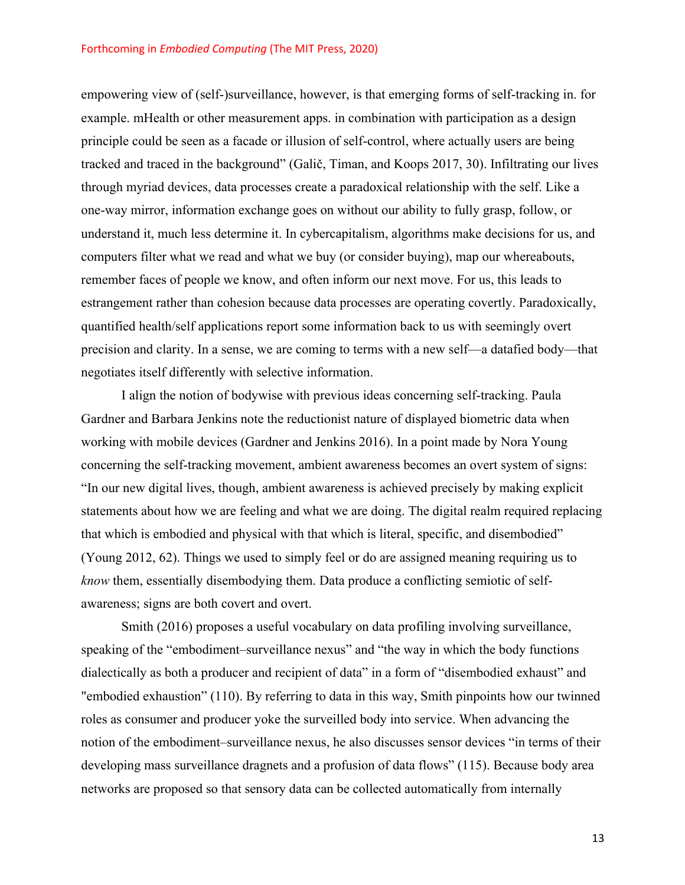empowering view of (self-)surveillance, however, is that emerging forms of self-tracking in. for example. mHealth or other measurement apps. in combination with participation as a design principle could be seen as a facade or illusion of self-control, where actually users are being tracked and traced in the background" (Galič, Timan, and Koops 2017, 30). Infiltrating our lives through myriad devices, data processes create a paradoxical relationship with the self. Like a one-way mirror, information exchange goes on without our ability to fully grasp, follow, or understand it, much less determine it. In cybercapitalism, algorithms make decisions for us, and computers filter what we read and what we buy (or consider buying), map our whereabouts, remember faces of people we know, and often inform our next move. For us, this leads to estrangement rather than cohesion because data processes are operating covertly. Paradoxically, quantified health/self applications report some information back to us with seemingly overt precision and clarity. In a sense, we are coming to terms with a new self—a datafied body—that negotiates itself differently with selective information.

I align the notion of bodywise with previous ideas concerning self-tracking. Paula Gardner and Barbara Jenkins note the reductionist nature of displayed biometric data when working with mobile devices (Gardner and Jenkins 2016). In a point made by Nora Young concerning the self-tracking movement, ambient awareness becomes an overt system of signs: "In our new digital lives, though, ambient awareness is achieved precisely by making explicit statements about how we are feeling and what we are doing. The digital realm required replacing that which is embodied and physical with that which is literal, specific, and disembodied" (Young 2012, 62). Things we used to simply feel or do are assigned meaning requiring us to *know* them, essentially disembodying them. Data produce a conflicting semiotic of selfawareness; signs are both covert and overt.

Smith (2016) proposes a useful vocabulary on data profiling involving surveillance, speaking of the "embodiment–surveillance nexus" and "the way in which the body functions dialectically as both a producer and recipient of data" in a form of "disembodied exhaust" and "embodied exhaustion" (110). By referring to data in this way, Smith pinpoints how our twinned roles as consumer and producer yoke the surveilled body into service. When advancing the notion of the embodiment–surveillance nexus, he also discusses sensor devices "in terms of their developing mass surveillance dragnets and a profusion of data flows" (115). Because body area networks are proposed so that sensory data can be collected automatically from internally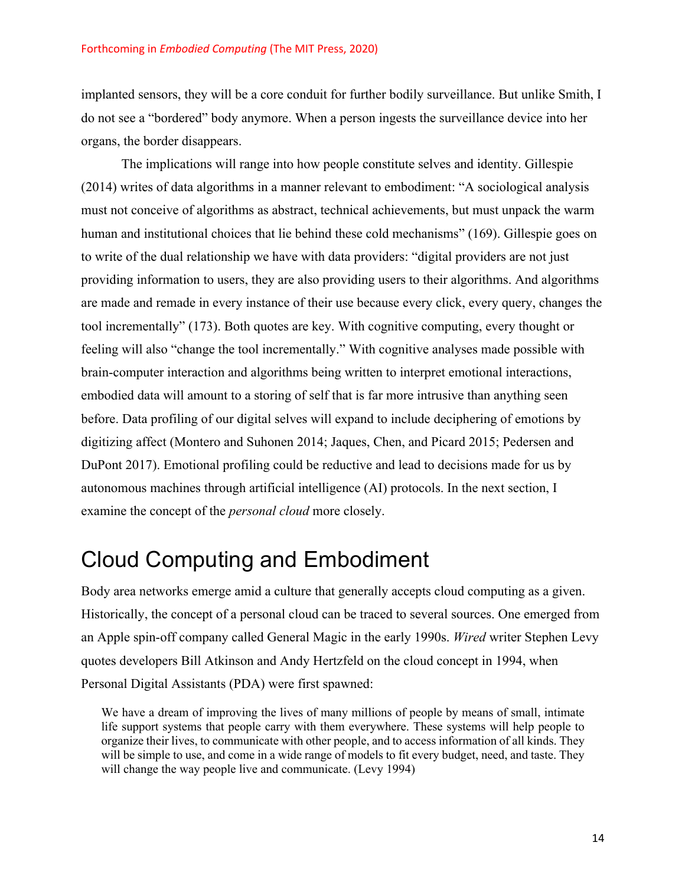implanted sensors, they will be a core conduit for further bodily surveillance. But unlike Smith, I do not see a "bordered" body anymore. When a person ingests the surveillance device into her organs, the border disappears.

The implications will range into how people constitute selves and identity. Gillespie (2014) writes of data algorithms in a manner relevant to embodiment: "A sociological analysis must not conceive of algorithms as abstract, technical achievements, but must unpack the warm human and institutional choices that lie behind these cold mechanisms" (169). Gillespie goes on to write of the dual relationship we have with data providers: "digital providers are not just providing information to users, they are also providing users to their algorithms. And algorithms are made and remade in every instance of their use because every click, every query, changes the tool incrementally" (173). Both quotes are key. With cognitive computing, every thought or feeling will also "change the tool incrementally." With cognitive analyses made possible with brain-computer interaction and algorithms being written to interpret emotional interactions, embodied data will amount to a storing of self that is far more intrusive than anything seen before. Data profiling of our digital selves will expand to include deciphering of emotions by digitizing affect (Montero and Suhonen 2014; Jaques, Chen, and Picard 2015; Pedersen and DuPont 2017). Emotional profiling could be reductive and lead to decisions made for us by autonomous machines through artificial intelligence (AI) protocols. In the next section, I examine the concept of the *personal cloud* more closely.

### Cloud Computing and Embodiment

Body area networks emerge amid a culture that generally accepts cloud computing as a given. Historically, the concept of a personal cloud can be traced to several sources. One emerged from an Apple spin-off company called General Magic in the early 1990s. *Wired* writer Stephen Levy quotes developers Bill Atkinson and Andy Hertzfeld on the cloud concept in 1994, when Personal Digital Assistants (PDA) were first spawned:

We have a dream of improving the lives of many millions of people by means of small, intimate life support systems that people carry with them everywhere. These systems will help people to organize their lives, to communicate with other people, and to access information of all kinds. They will be simple to use, and come in a wide range of models to fit every budget, need, and taste. They will change the way people live and communicate. (Levy 1994)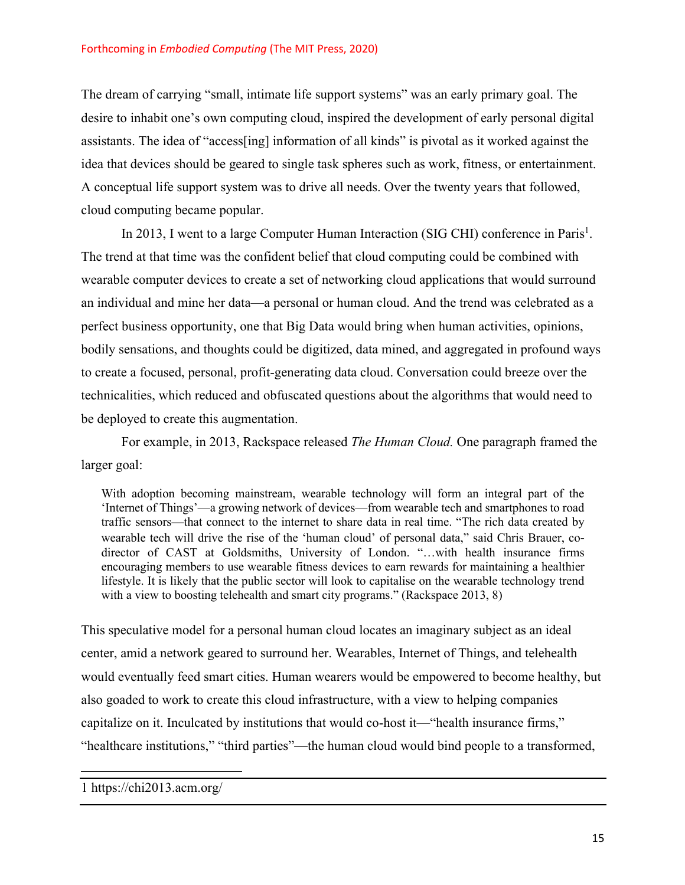The dream of carrying "small, intimate life support systems" was an early primary goal. The desire to inhabit one's own computing cloud, inspired the development of early personal digital assistants. The idea of "access[ing] information of all kinds" is pivotal as it worked against the idea that devices should be geared to single task spheres such as work, fitness, or entertainment. A conceptual life support system was to drive all needs. Over the twenty years that followed, cloud computing became popular.

In 2013, I went to a large Computer Human Interaction (SIG CHI) conference in Paris<sup>1</sup>. The trend at that time was the confident belief that cloud computing could be combined with wearable computer devices to create a set of networking cloud applications that would surround an individual and mine her data—a personal or human cloud. And the trend was celebrated as a perfect business opportunity, one that Big Data would bring when human activities, opinions, bodily sensations, and thoughts could be digitized, data mined, and aggregated in profound ways to create a focused, personal, profit-generating data cloud. Conversation could breeze over the technicalities, which reduced and obfuscated questions about the algorithms that would need to be deployed to create this augmentation.

For example, in 2013, Rackspace released *The Human Cloud.* One paragraph framed the larger goal:

With adoption becoming mainstream, wearable technology will form an integral part of the 'Internet of Things'—a growing network of devices—from wearable tech and smartphones to road traffic sensors—that connect to the internet to share data in real time. "The rich data created by wearable tech will drive the rise of the 'human cloud' of personal data," said Chris Brauer, codirector of CAST at Goldsmiths, University of London. "…with health insurance firms encouraging members to use wearable fitness devices to earn rewards for maintaining a healthier lifestyle. It is likely that the public sector will look to capitalise on the wearable technology trend with a view to boosting telehealth and smart city programs." (Rackspace 2013, 8)

This speculative model for a personal human cloud locates an imaginary subject as an ideal center, amid a network geared to surround her. Wearables, Internet of Things, and telehealth would eventually feed smart cities. Human wearers would be empowered to become healthy, but also goaded to work to create this cloud infrastructure, with a view to helping companies capitalize on it. Inculcated by institutions that would co-host it—"health insurance firms," "healthcare institutions," "third parties"—the human cloud would bind people to a transformed,

<sup>1</sup> https://chi2013.acm.org/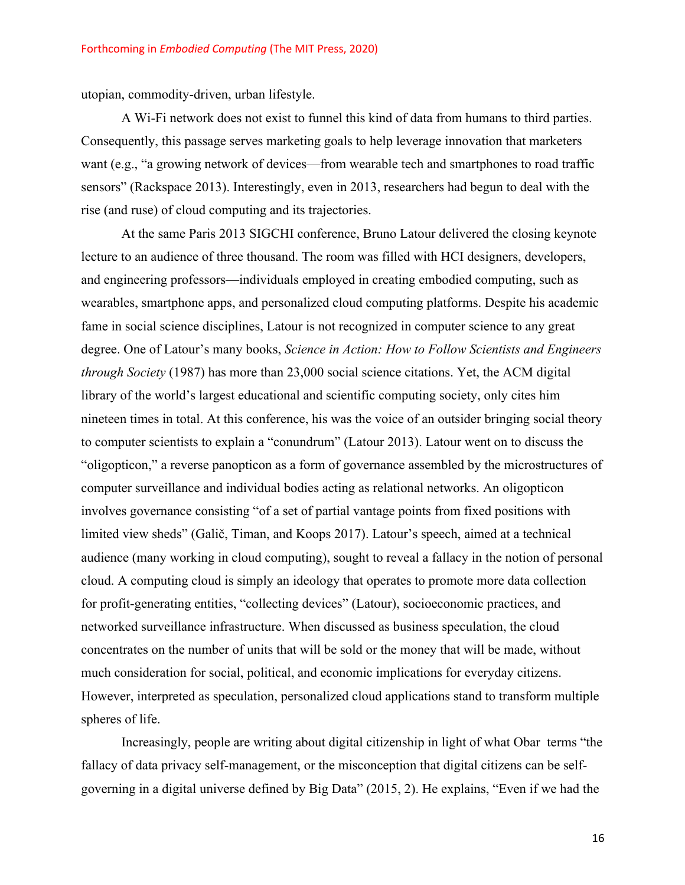utopian, commodity-driven, urban lifestyle.

A Wi-Fi network does not exist to funnel this kind of data from humans to third parties. Consequently, this passage serves marketing goals to help leverage innovation that marketers want (e.g., "a growing network of devices—from wearable tech and smartphones to road traffic sensors" (Rackspace 2013). Interestingly, even in 2013, researchers had begun to deal with the rise (and ruse) of cloud computing and its trajectories.

At the same Paris 2013 SIGCHI conference, Bruno Latour delivered the closing keynote lecture to an audience of three thousand. The room was filled with HCI designers, developers, and engineering professors—individuals employed in creating embodied computing, such as wearables, smartphone apps, and personalized cloud computing platforms. Despite his academic fame in social science disciplines, Latour is not recognized in computer science to any great degree. One of Latour's many books, *Science in Action: How to Follow Scientists and Engineers through Society* (1987) has more than 23,000 social science citations. Yet, the ACM digital library of the world's largest educational and scientific computing society, only cites him nineteen times in total. At this conference, his was the voice of an outsider bringing social theory to computer scientists to explain a "conundrum" (Latour 2013). Latour went on to discuss the "oligopticon," a reverse panopticon as a form of governance assembled by the microstructures of computer surveillance and individual bodies acting as relational networks. An oligopticon involves governance consisting "of a set of partial vantage points from fixed positions with limited view sheds" (Galič, Timan, and Koops 2017). Latour's speech, aimed at a technical audience (many working in cloud computing), sought to reveal a fallacy in the notion of personal cloud. A computing cloud is simply an ideology that operates to promote more data collection for profit-generating entities, "collecting devices" (Latour), socioeconomic practices, and networked surveillance infrastructure. When discussed as business speculation, the cloud concentrates on the number of units that will be sold or the money that will be made, without much consideration for social, political, and economic implications for everyday citizens. However, interpreted as speculation, personalized cloud applications stand to transform multiple spheres of life.

Increasingly, people are writing about digital citizenship in light of what Obar terms "the fallacy of data privacy self-management, or the misconception that digital citizens can be selfgoverning in a digital universe defined by Big Data" (2015, 2). He explains, "Even if we had the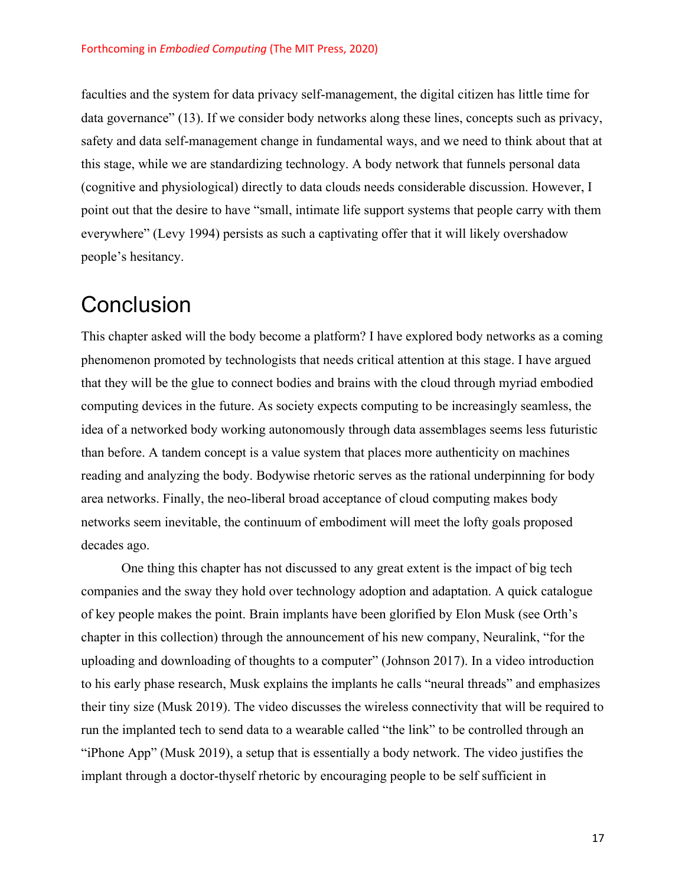faculties and the system for data privacy self-management, the digital citizen has little time for data governance" (13). If we consider body networks along these lines, concepts such as privacy, safety and data self-management change in fundamental ways, and we need to think about that at this stage, while we are standardizing technology. A body network that funnels personal data (cognitive and physiological) directly to data clouds needs considerable discussion. However, I point out that the desire to have "small, intimate life support systems that people carry with them everywhere" (Levy 1994) persists as such a captivating offer that it will likely overshadow people's hesitancy.

### **Conclusion**

This chapter asked will the body become a platform? I have explored body networks as a coming phenomenon promoted by technologists that needs critical attention at this stage. I have argued that they will be the glue to connect bodies and brains with the cloud through myriad embodied computing devices in the future. As society expects computing to be increasingly seamless, the idea of a networked body working autonomously through data assemblages seems less futuristic than before. A tandem concept is a value system that places more authenticity on machines reading and analyzing the body. Bodywise rhetoric serves as the rational underpinning for body area networks. Finally, the neo-liberal broad acceptance of cloud computing makes body networks seem inevitable, the continuum of embodiment will meet the lofty goals proposed decades ago.

One thing this chapter has not discussed to any great extent is the impact of big tech companies and the sway they hold over technology adoption and adaptation. A quick catalogue of key people makes the point. Brain implants have been glorified by Elon Musk (see Orth's chapter in this collection) through the announcement of his new company, Neuralink, "for the uploading and downloading of thoughts to a computer" (Johnson 2017). In a video introduction to his early phase research, Musk explains the implants he calls "neural threads" and emphasizes their tiny size (Musk 2019). The video discusses the wireless connectivity that will be required to run the implanted tech to send data to a wearable called "the link" to be controlled through an "iPhone App" (Musk 2019), a setup that is essentially a body network. The video justifies the implant through a doctor-thyself rhetoric by encouraging people to be self sufficient in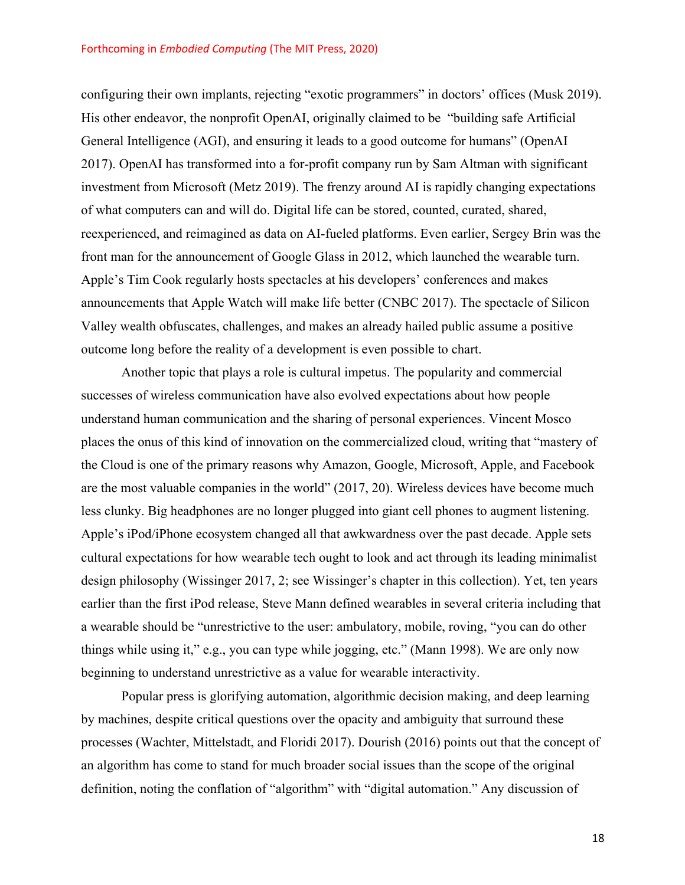configuring their own implants, rejecting "exotic programmers" in doctors' offices (Musk 2019). His other endeavor, the nonprofit OpenAI, originally claimed to be "building safe Artificial General Intelligence (AGI), and ensuring it leads to a good outcome for humans" (OpenAI 2017). OpenAI has transformed into a for-profit company run by Sam Altman with significant investment from Microsoft (Metz 2019). The frenzy around AI is rapidly changing expectations of what computers can and will do. Digital life can be stored, counted, curated, shared, reexperienced, and reimagined as data on AI-fueled platforms. Even earlier, Sergey Brin was the front man for the announcement of Google Glass in 2012, which launched the wearable turn. Apple's Tim Cook regularly hosts spectacles at his developers' conferences and makes announcements that Apple Watch will make life better (CNBC 2017). The spectacle of Silicon Valley wealth obfuscates, challenges, and makes an already hailed public assume a positive outcome long before the reality of a development is even possible to chart.

Another topic that plays a role is cultural impetus. The popularity and commercial successes of wireless communication have also evolved expectations about how people understand human communication and the sharing of personal experiences. Vincent Mosco places the onus of this kind of innovation on the commercialized cloud, writing that "mastery of the Cloud is one of the primary reasons why Amazon, Google, Microsoft, Apple, and Facebook are the most valuable companies in the world" (2017, 20). Wireless devices have become much less clunky. Big headphones are no longer plugged into giant cell phones to augment listening. Apple's iPod/iPhone ecosystem changed all that awkwardness over the past decade. Apple sets cultural expectations for how wearable tech ought to look and act through its leading minimalist design philosophy (Wissinger 2017, 2; see Wissinger's chapter in this collection). Yet, ten years earlier than the first iPod release, Steve Mann defined wearables in several criteria including that a wearable should be "unrestrictive to the user: ambulatory, mobile, roving, "you can do other things while using it," e.g., you can type while jogging, etc." (Mann 1998). We are only now beginning to understand unrestrictive as a value for wearable interactivity.

Popular press is glorifying automation, algorithmic decision making, and deep learning by machines, despite critical questions over the opacity and ambiguity that surround these processes (Wachter, Mittelstadt, and Floridi 2017). Dourish (2016) points out that the concept of an algorithm has come to stand for much broader social issues than the scope of the original definition, noting the conflation of "algorithm" with "digital automation." Any discussion of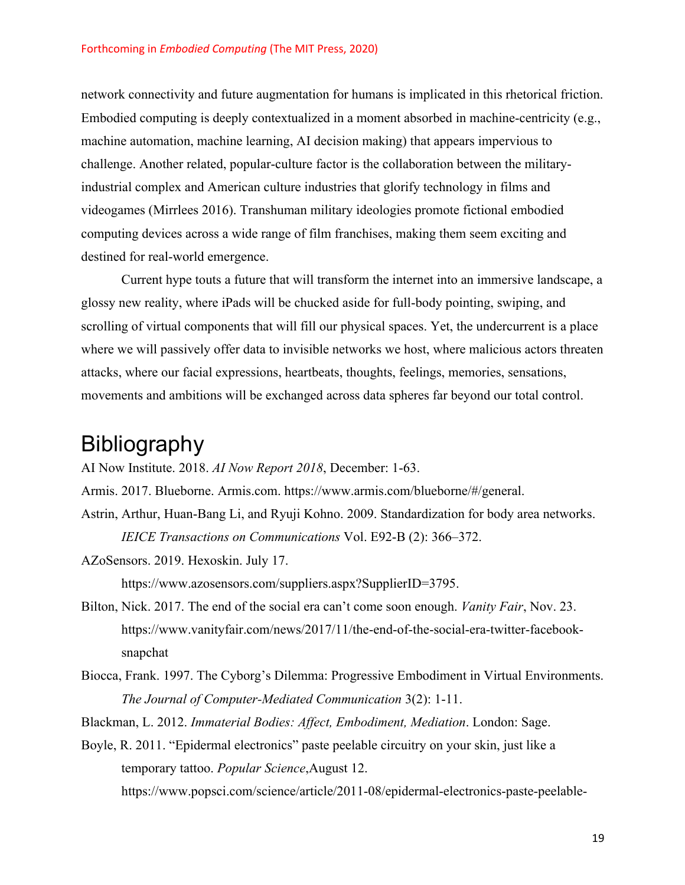network connectivity and future augmentation for humans is implicated in this rhetorical friction. Embodied computing is deeply contextualized in a moment absorbed in machine-centricity (e.g., machine automation, machine learning, AI decision making) that appears impervious to challenge. Another related, popular-culture factor is the collaboration between the militaryindustrial complex and American culture industries that glorify technology in films and videogames (Mirrlees 2016). Transhuman military ideologies promote fictional embodied computing devices across a wide range of film franchises, making them seem exciting and destined for real-world emergence.

Current hype touts a future that will transform the internet into an immersive landscape, a glossy new reality, where iPads will be chucked aside for full-body pointing, swiping, and scrolling of virtual components that will fill our physical spaces. Yet, the undercurrent is a place where we will passively offer data to invisible networks we host, where malicious actors threaten attacks, where our facial expressions, heartbeats, thoughts, feelings, memories, sensations, movements and ambitions will be exchanged across data spheres far beyond our total control.

#### Bibliography

AI Now Institute. 2018. *AI Now Report 2018*, December: 1-63.

Armis. 2017. Blueborne. Armis.com. https://www.armis.com/blueborne/#/general.

Astrin, Arthur, Huan-Bang Li, and Ryuji Kohno. 2009. Standardization for body area networks. *IEICE Transactions on Communications* Vol. E92-B (2): 366–372.

AZoSensors. 2019. Hexoskin. July 17.

https://www.azosensors.com/suppliers.aspx?SupplierID=3795.

- Bilton, Nick. 2017. The end of the social era can't come soon enough. *Vanity Fair*, Nov. 23. https://www.vanityfair.com/news/2017/11/the-end-of-the-social-era-twitter-facebooksnapchat
- Biocca, Frank. 1997. The Cyborg's Dilemma: Progressive Embodiment in Virtual Environments. *The Journal of Computer-Mediated Communication* 3(2): 1-11.
- Blackman, L. 2012. *Immaterial Bodies: Affect, Embodiment, Mediation*. London: Sage.

Boyle, R. 2011. "Epidermal electronics" paste peelable circuitry on your skin, just like a temporary tattoo. *Popular Science*,August 12. https://www.popsci.com/science/article/2011-08/epidermal-electronics-paste-peelable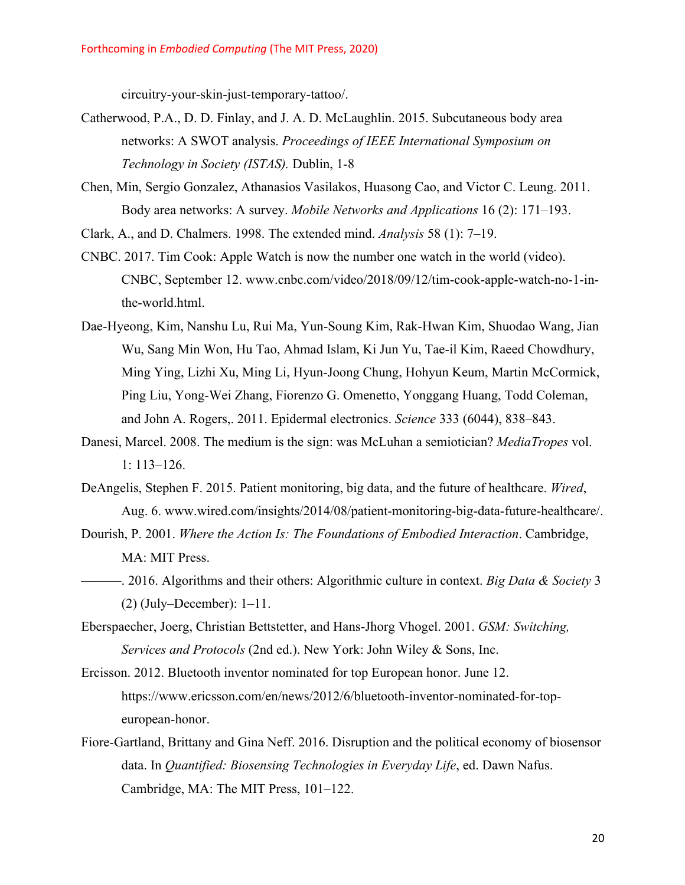circuitry-your-skin-just-temporary-tattoo/.

- Catherwood, P.A., D. D. Finlay, and J. A. D. McLaughlin. 2015. Subcutaneous body area networks: A SWOT analysis. *Proceedings of IEEE International Symposium on Technology in Society (ISTAS).* Dublin, 1-8
- Chen, Min, Sergio Gonzalez, Athanasios Vasilakos, Huasong Cao, and Victor C. Leung. 2011. Body area networks: A survey. *Mobile Networks and Applications* 16 (2): 171–193.

Clark, A., and D. Chalmers. 1998. The extended mind. *Analysis* 58 (1): 7–19.

- CNBC. 2017. Tim Cook: Apple Watch is now the number one watch in the world (video). CNBC, September 12. www.cnbc.com/video/2018/09/12/tim-cook-apple-watch-no-1-inthe-world.html.
- Dae-Hyeong, Kim, Nanshu Lu, Rui Ma, Yun-Soung Kim, Rak-Hwan Kim, Shuodao Wang, Jian Wu, Sang Min Won, Hu Tao, Ahmad Islam, Ki Jun Yu, Tae-il Kim, Raeed Chowdhury, Ming Ying, Lizhi Xu, Ming Li, Hyun-Joong Chung, Hohyun Keum, Martin McCormick, Ping Liu, Yong-Wei Zhang, Fiorenzo G. Omenetto, Yonggang Huang, Todd Coleman, and John A. Rogers,. 2011. Epidermal electronics. *Science* 333 (6044), 838–843.
- Danesi, Marcel. 2008. The medium is the sign: was McLuhan a semiotician? *MediaTropes* vol. 1: 113–126.
- DeAngelis, Stephen F. 2015. Patient monitoring, big data, and the future of healthcare. *Wired*, Aug. 6. www.wired.com/insights/2014/08/patient-monitoring-big-data-future-healthcare/.
- Dourish, P. 2001. *Where the Action Is: The Foundations of Embodied Interaction*. Cambridge, MA: MIT Press.
- ———. 2016. Algorithms and their others: Algorithmic culture in context. *Big Data & Society* 3 (2) (July–December): 1–11.
- Eberspaecher, Joerg, Christian Bettstetter, and Hans-Jhorg Vhogel. 2001. *GSM: Switching, Services and Protocols* (2nd ed.). New York: John Wiley & Sons, Inc.
- Ercisson. 2012. Bluetooth inventor nominated for top European honor. June 12. https://www.ericsson.com/en/news/2012/6/bluetooth-inventor-nominated-for-topeuropean-honor.
- Fiore-Gartland, Brittany and Gina Neff. 2016. Disruption and the political economy of biosensor data. In *Quantified: Biosensing Technologies in Everyday Life*, ed. Dawn Nafus. Cambridge, MA: The MIT Press, 101–122.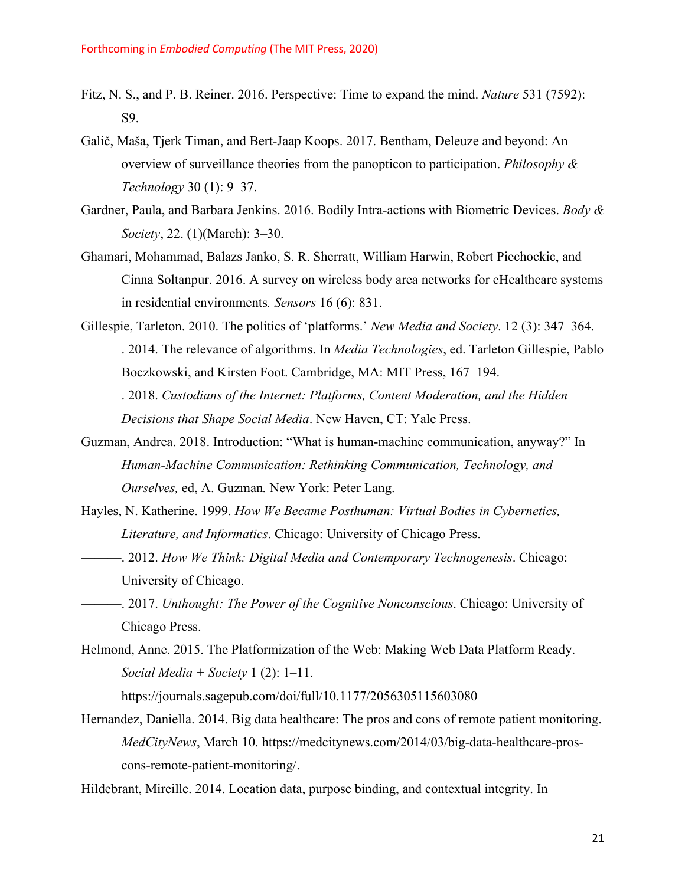- Fitz, N. S., and P. B. Reiner. 2016. Perspective: Time to expand the mind. *Nature* 531 (7592): S9.
- Galič, Maša, Tjerk Timan, and Bert-Jaap Koops. 2017. Bentham, Deleuze and beyond: An overview of surveillance theories from the panopticon to participation. *Philosophy & Technology* 30 (1): 9–37.
- Gardner, Paula, and Barbara Jenkins. 2016. Bodily Intra-actions with Biometric Devices. *Body & Society*, 22. (1)(March): 3–30.
- Ghamari, Mohammad, Balazs Janko, S. R. Sherratt, William Harwin, Robert Piechockic, and Cinna Soltanpur. 2016. A survey on wireless body area networks for eHealthcare systems in residential environments*. Sensors* 16 (6): 831.
- Gillespie, Tarleton. 2010. The politics of 'platforms.' *New Media and Society*. 12 (3): 347–364.
- ———. 2014. The relevance of algorithms. In *Media Technologies*, ed. Tarleton Gillespie, Pablo Boczkowski, and Kirsten Foot. Cambridge, MA: MIT Press, 167–194.
- ———. 2018. *Custodians of the Internet: Platforms, Content Moderation, and the Hidden Decisions that Shape Social Media*. New Haven, CT: Yale Press.
- Guzman, Andrea. 2018. Introduction: "What is human-machine communication, anyway?" In *Human-Machine Communication: Rethinking Communication, Technology, and Ourselves,* ed, A. Guzman*.* New York: Peter Lang.
- Hayles, N. Katherine. 1999. *How We Became Posthuman: Virtual Bodies in Cybernetics, Literature, and Informatics*. Chicago: University of Chicago Press.
- ———. 2012. *How We Think: Digital Media and Contemporary Technogenesis*. Chicago: University of Chicago.
- ———. 2017. *Unthought: The Power of the Cognitive Nonconscious*. Chicago: University of Chicago Press.
- Helmond, Anne. 2015. The Platformization of the Web: Making Web Data Platform Ready. *Social Media + Society* 1 (2): 1–11.

https://journals.sagepub.com/doi/full/10.1177/2056305115603080

Hernandez, Daniella. 2014. Big data healthcare: The pros and cons of remote patient monitoring. *MedCityNews*, March 10. https://medcitynews.com/2014/03/big-data-healthcare-proscons-remote-patient-monitoring/.

Hildebrant, Mireille. 2014. Location data, purpose binding, and contextual integrity. In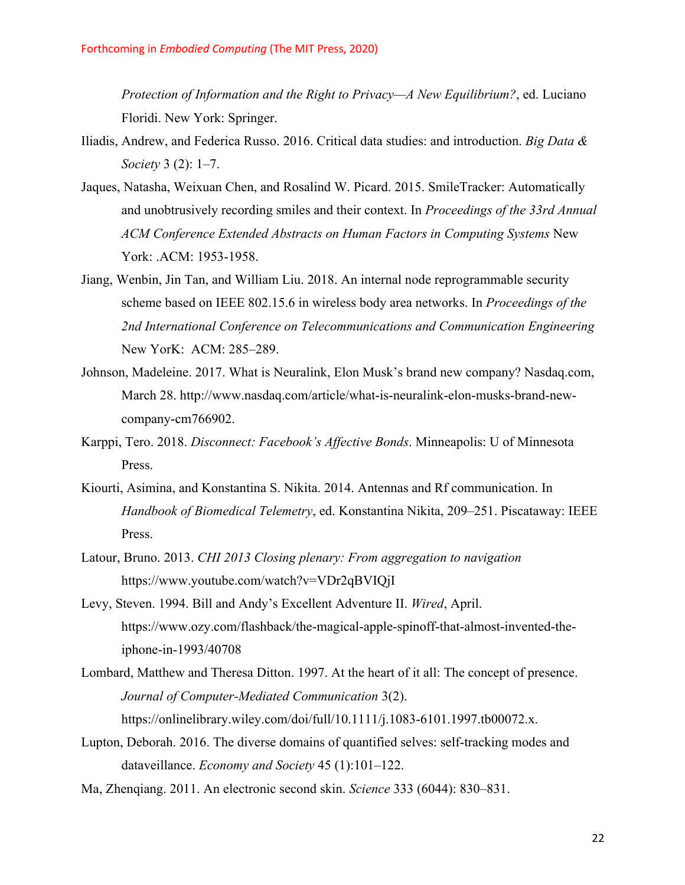*Protection of Information and the Right to Privacy—A New Equilibrium?*, ed. Luciano Floridi. New York: Springer.

- Iliadis, Andrew, and Federica Russo. 2016. Critical data studies: and introduction. *Big Data & Society* 3 (2): 1–7.
- Jaques, Natasha, Weixuan Chen, and Rosalind W. Picard. 2015. SmileTracker: Automatically and unobtrusively recording smiles and their context. In *Proceedings of the 33rd Annual ACM Conference Extended Abstracts on Human Factors in Computing Systems* New York: .ACM: 1953-1958.
- Jiang, Wenbin, Jin Tan, and William Liu. 2018. An internal node reprogrammable security scheme based on IEEE 802.15.6 in wireless body area networks. In *Proceedings of the 2nd International Conference on Telecommunications and Communication Engineering* New YorK: ACM: 285–289.
- Johnson, Madeleine. 2017. What is Neuralink, Elon Musk's brand new company? Nasdaq.com, March 28. http://www.nasdaq.com/article/what-is-neuralink-elon-musks-brand-newcompany-cm766902.
- Karppi, Tero. 2018. *Disconnect: Facebook's Affective Bonds*. Minneapolis: U of Minnesota Press.
- Kiourti, Asimina, and Konstantina S. Nikita. 2014. Antennas and Rf communication. In *Handbook of Biomedical Telemetry*, ed. Konstantina Nikita, 209–251. Piscataway: IEEE Press.
- Latour, Bruno. 2013. *CHI 2013 Closing plenary: From aggregation to navigation* https://www.youtube.com/watch?v=VDr2qBVIQjI
- Levy, Steven. 1994. Bill and Andy's Excellent Adventure II. *Wired*, April. https://www.ozy.com/flashback/the-magical-apple-spinoff-that-almost-invented-theiphone-in-1993/40708
- Lombard, Matthew and Theresa Ditton. 1997. At the heart of it all: The concept of presence. *Journal of Computer-Mediated Communication* 3(2). https://onlinelibrary.wiley.com/doi/full/10.1111/j.1083-6101.1997.tb00072.x.
- Lupton, Deborah. 2016. The diverse domains of quantified selves: self-tracking modes and dataveillance. *Economy and Society* 45 (1):101–122.
- Ma, Zhenqiang. 2011. An electronic second skin. *Science* 333 (6044): 830–831.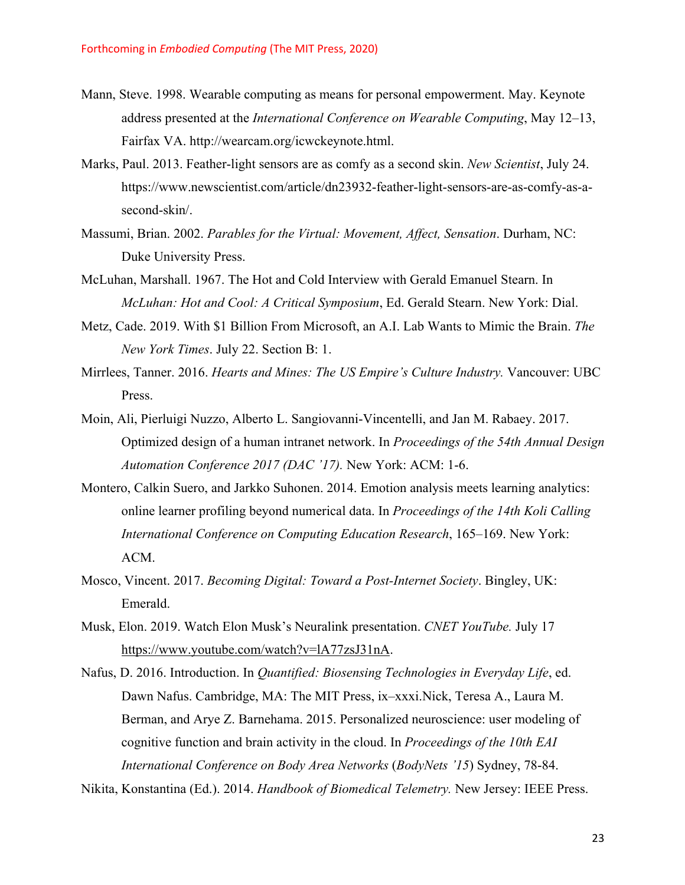- Mann, Steve. 1998. Wearable computing as means for personal empowerment. May. Keynote address presented at the *International Conference on Wearable Computing*, May 12–13, Fairfax VA. http://wearcam.org/icwckeynote.html.
- Marks, Paul. 2013. Feather-light sensors are as comfy as a second skin. *New Scientist*, July 24. https://www.newscientist.com/article/dn23932-feather-light-sensors-are-as-comfy-as-asecond-skin/.
- Massumi, Brian. 2002. *Parables for the Virtual: Movement, Affect, Sensation*. Durham, NC: Duke University Press.
- McLuhan, Marshall. 1967. The Hot and Cold Interview with Gerald Emanuel Stearn. In *McLuhan: Hot and Cool: A Critical Symposium*, Ed. Gerald Stearn. New York: Dial.
- Metz, Cade. 2019. With \$1 Billion From Microsoft, an A.I. Lab Wants to Mimic the Brain. *The New York Times*. July 22. Section B: 1.
- Mirrlees, Tanner. 2016. *Hearts and Mines: The US Empire's Culture Industry.* Vancouver: UBC Press.
- Moin, Ali, Pierluigi Nuzzo, Alberto L. Sangiovanni-Vincentelli, and Jan M. Rabaey. 2017. Optimized design of a human intranet network. In *Proceedings of the 54th Annual Design Automation Conference 2017 (DAC '17).* New York: ACM: 1-6.
- Montero, Calkin Suero, and Jarkko Suhonen. 2014. Emotion analysis meets learning analytics: online learner profiling beyond numerical data. In *Proceedings of the 14th Koli Calling International Conference on Computing Education Research*, 165–169. New York: ACM.
- Mosco, Vincent. 2017. *Becoming Digital: Toward a Post-Internet Society*. Bingley, UK: Emerald.
- Musk, Elon. 2019. Watch Elon Musk's Neuralink presentation. *CNET YouTube.* July 17 https://www.youtube.com/watch?v=lA77zsJ31nA.
- Nafus, D. 2016. Introduction. In *Quantified: Biosensing Technologies in Everyday Life*, ed. Dawn Nafus. Cambridge, MA: The MIT Press, ix–xxxi.Nick, Teresa A., Laura M. Berman, and Arye Z. Barnehama. 2015. Personalized neuroscience: user modeling of cognitive function and brain activity in the cloud. In *Proceedings of the 10th EAI International Conference on Body Area Networks* (*BodyNets '15*) Sydney, 78-84.

Nikita, Konstantina (Ed.). 2014. *Handbook of Biomedical Telemetry.* New Jersey: IEEE Press.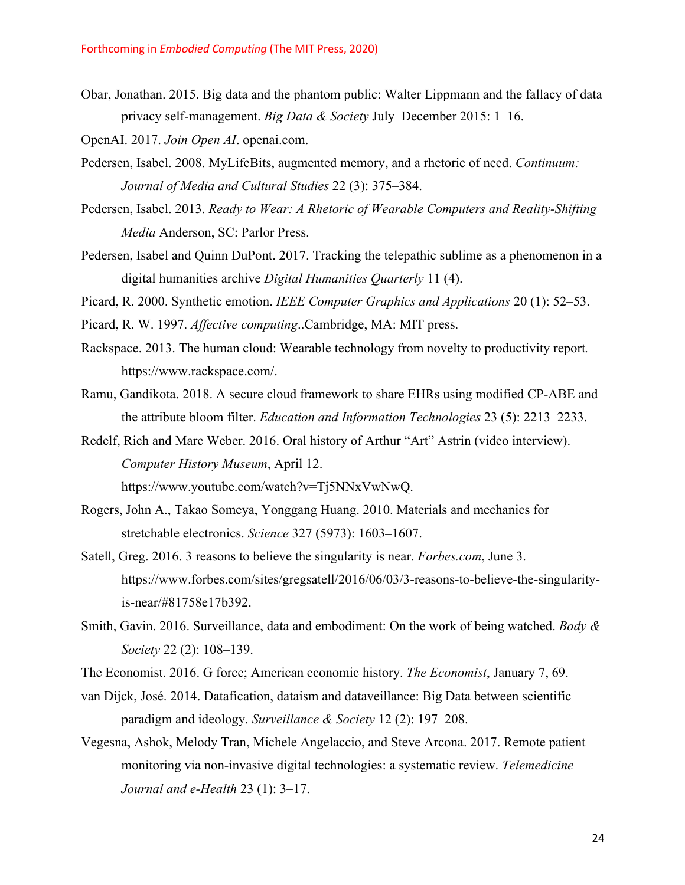Obar, Jonathan. 2015. Big data and the phantom public: Walter Lippmann and the fallacy of data privacy self-management. *Big Data & Society* July–December 2015: 1–16.

OpenAI. 2017. *Join Open AI*. openai.com.

- Pedersen, Isabel. 2008. MyLifeBits, augmented memory, and a rhetoric of need. *Continuum: Journal of Media and Cultural Studies* 22 (3): 375–384.
- Pedersen, Isabel. 2013. *Ready to Wear: A Rhetoric of Wearable Computers and Reality-Shifting Media* Anderson, SC: Parlor Press.
- Pedersen, Isabel and Quinn DuPont. 2017. Tracking the telepathic sublime as a phenomenon in a digital humanities archive *Digital Humanities Quarterly* 11 (4).
- Picard, R. 2000. Synthetic emotion. *IEEE Computer Graphics and Applications* 20 (1): 52–53.
- Picard, R. W. 1997. *Affective computing*..Cambridge, MA: MIT press.
- Rackspace. 2013. The human cloud: Wearable technology from novelty to productivity report*.* https://www.rackspace.com/.
- Ramu, Gandikota. 2018. A secure cloud framework to share EHRs using modified CP-ABE and the attribute bloom filter. *Education and Information Technologies* 23 (5): 2213–2233.
- Redelf, Rich and Marc Weber. 2016. Oral history of Arthur "Art" Astrin (video interview). *Computer History Museum*, April 12. https://www.youtube.com/watch?v=Tj5NNxVwNwQ.
- Rogers, John A., Takao Someya, Yonggang Huang. 2010. Materials and mechanics for stretchable electronics. *Science* 327 (5973): 1603–1607.
- Satell, Greg. 2016. 3 reasons to believe the singularity is near. *Forbes.com*, June 3. https://www.forbes.com/sites/gregsatell/2016/06/03/3-reasons-to-believe-the-singularityis-near/#81758e17b392.
- Smith, Gavin. 2016. Surveillance, data and embodiment: On the work of being watched. *Body & Society* 22 (2): 108–139.
- The Economist. 2016. G force; American economic history. *The Economist*, January 7, 69.
- van Dijck, José. 2014. Datafication, dataism and dataveillance: Big Data between scientific paradigm and ideology. *Surveillance & Society* 12 (2): 197–208.
- Vegesna, Ashok, Melody Tran, Michele Angelaccio, and Steve Arcona. 2017. Remote patient monitoring via non-invasive digital technologies: a systematic review. *Telemedicine Journal and e-Health* 23 (1): 3–17.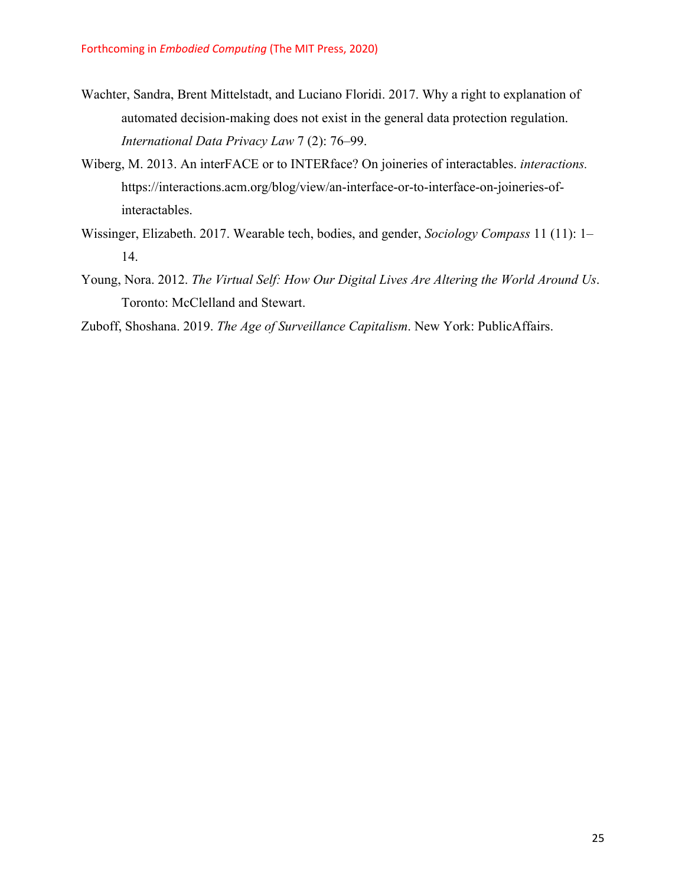- Wachter, Sandra, Brent Mittelstadt, and Luciano Floridi. 2017. Why a right to explanation of automated decision-making does not exist in the general data protection regulation. *International Data Privacy Law* 7 (2): 76–99.
- Wiberg, M. 2013. An interFACE or to INTERface? On joineries of interactables. *interactions.* https://interactions.acm.org/blog/view/an-interface-or-to-interface-on-joineries-ofinteractables.
- Wissinger, Elizabeth. 2017. Wearable tech, bodies, and gender, *Sociology Compass* 11 (11): 1– 14.
- Young, Nora. 2012. *The Virtual Self: How Our Digital Lives Are Altering the World Around Us*. Toronto: McClelland and Stewart.

Zuboff, Shoshana. 2019. *The Age of Surveillance Capitalism*. New York: PublicAffairs.